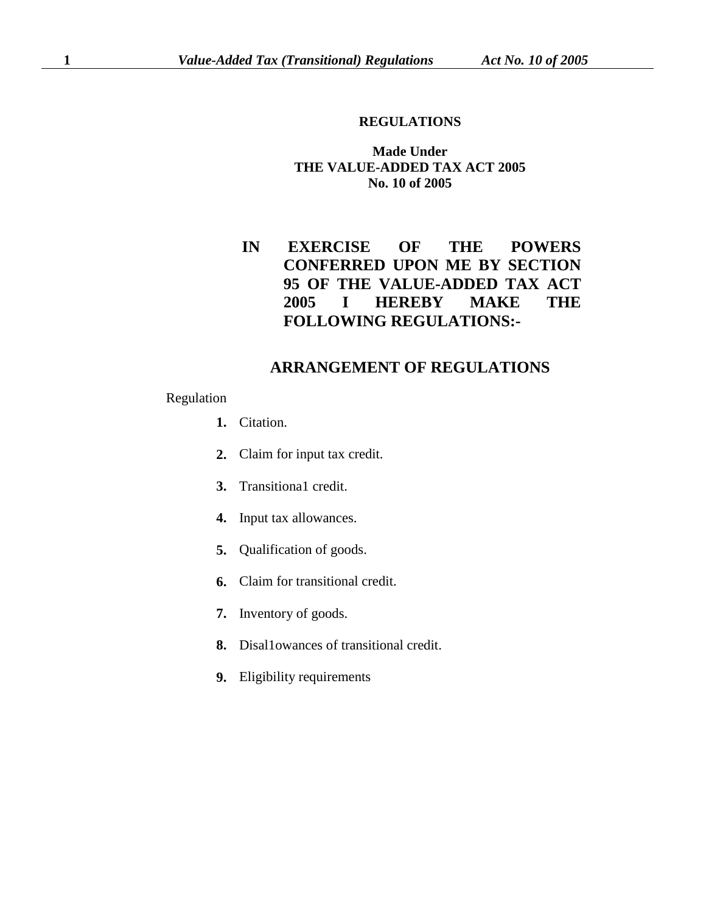## **REGULATIONS**

## **Made Under THE VALUE-ADDED TAX ACT 2005 No. 10 of 2005**

**IN EXERCISE OF THE POWERS CONFERRED UPON ME BY SECTION 95 OF THE VALUE-ADDED TAX ACT 2005 I HEREBY MAKE THE FOLLOWING REGULATIONS:-**

## **ARRANGEMENT OF REGULATIONS**

## Regulation

- **1.** Citation.
- **2.** Claim for input tax credit.
- **3.** Transitiona1 credit.
- **4.** Input tax allowances.
- **5.** Qualification of goods.
- **6.** Claim for transitional credit.
- **7.** Inventory of goods.
- **8.** Disal1owances of transitional credit.
- **9.** Eligibility requirements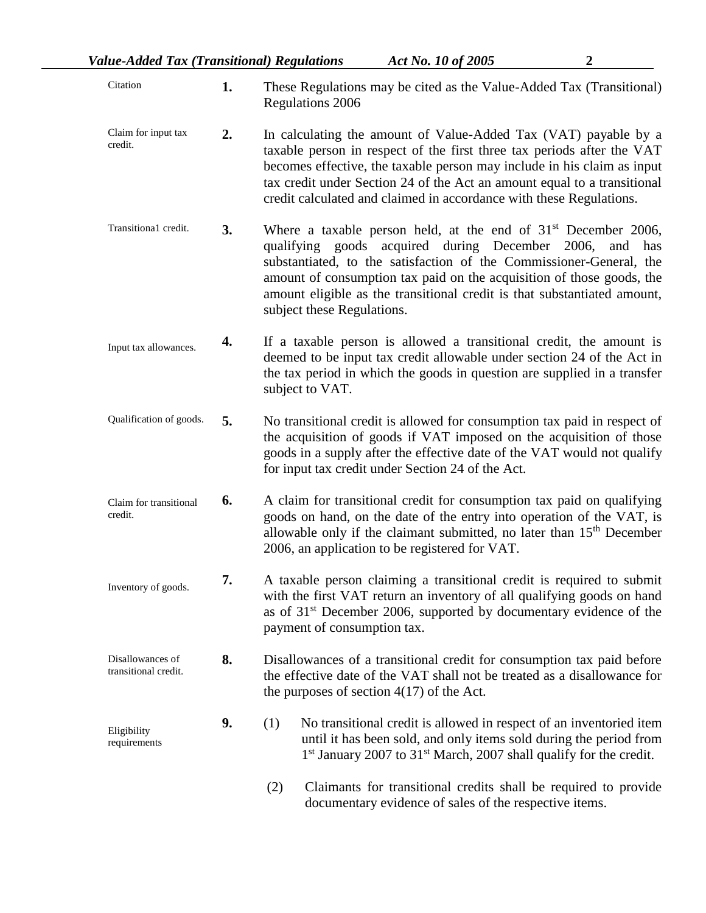| Citation                                 | 1. | These Regulations may be cited as the Value-Added Tax (Transitional)<br><b>Regulations 2006</b>                                                                                                                                                                                                                                                                                             |
|------------------------------------------|----|---------------------------------------------------------------------------------------------------------------------------------------------------------------------------------------------------------------------------------------------------------------------------------------------------------------------------------------------------------------------------------------------|
| Claim for input tax<br>credit.           | 2. | In calculating the amount of Value-Added Tax (VAT) payable by a<br>taxable person in respect of the first three tax periods after the VAT<br>becomes effective, the taxable person may include in his claim as input<br>tax credit under Section 24 of the Act an amount equal to a transitional<br>credit calculated and claimed in accordance with these Regulations.                     |
| Transitiona1 credit.                     | 3. | Where a taxable person held, at the end of $31st$ December 2006,<br>qualifying goods acquired during December 2006,<br>and<br>has<br>substantiated, to the satisfaction of the Commissioner-General, the<br>amount of consumption tax paid on the acquisition of those goods, the<br>amount eligible as the transitional credit is that substantiated amount,<br>subject these Regulations. |
| Input tax allowances.                    | 4. | If a taxable person is allowed a transitional credit, the amount is<br>deemed to be input tax credit allowable under section 24 of the Act in<br>the tax period in which the goods in question are supplied in a transfer<br>subject to VAT.                                                                                                                                                |
| Qualification of goods.                  | 5. | No transitional credit is allowed for consumption tax paid in respect of<br>the acquisition of goods if VAT imposed on the acquisition of those<br>goods in a supply after the effective date of the VAT would not qualify<br>for input tax credit under Section 24 of the Act.                                                                                                             |
| Claim for transitional<br>credit.        | 6. | A claim for transitional credit for consumption tax paid on qualifying<br>goods on hand, on the date of the entry into operation of the VAT, is<br>allowable only if the claimant submitted, no later than 15 <sup>th</sup> December<br>2006, an application to be registered for VAT.                                                                                                      |
| Inventory of goods.                      | 7. | A taxable person claiming a transitional credit is required to submit<br>with the first VAT return an inventory of all qualifying goods on hand<br>as of 31 <sup>st</sup> December 2006, supported by documentary evidence of the<br>payment of consumption tax.                                                                                                                            |
| Disallowances of<br>transitional credit. | 8. | Disallowances of a transitional credit for consumption tax paid before<br>the effective date of the VAT shall not be treated as a disallowance for<br>the purposes of section $4(17)$ of the Act.                                                                                                                                                                                           |
| Eligibility<br>requirements              | 9. | No transitional credit is allowed in respect of an inventoried item<br>(1)<br>until it has been sold, and only items sold during the period from<br>1 <sup>st</sup> January 2007 to 31 <sup>st</sup> March, 2007 shall qualify for the credit.                                                                                                                                              |
|                                          |    | Claimants for transitional credits shall be required to provide<br>(2)                                                                                                                                                                                                                                                                                                                      |

(2) Claimants for transitional credits shall be required to provide documentary evidence of sales of the respective items.